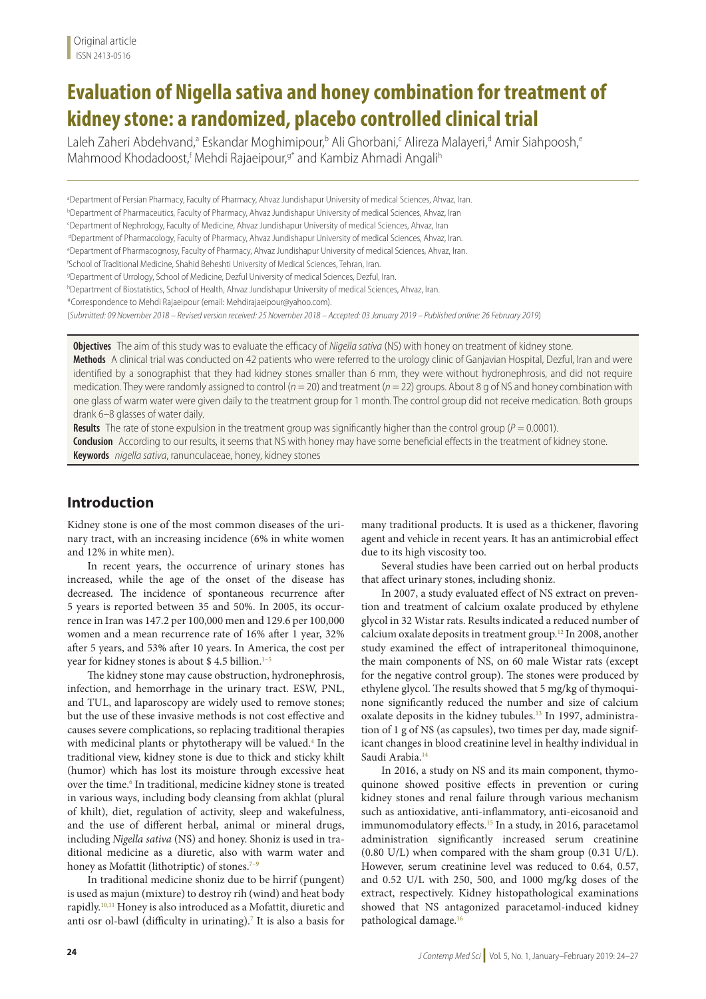# **Evaluation of Nigella sativa and honey combination for treatment of kidney stone: a randomized, placebo controlled clinical trial**

Laleh Zaheri Abdehvand,ª Eskandar Moghimipour,ʰ Ali Ghorbani,<code>c</code> Alireza Malayeri,ª Amir Siahpoosh,ª Mahmood Khodadoost,<sup>f</sup> Mehdi Rajaeipour,<sup>g\*</sup> and Kambiz Ahmadi Angali<sup>h</sup>

a Department of Persian Pharmacy, Faculty of Pharmacy, Ahvaz Jundishapur University of medical Sciences, Ahvaz, Iran. b Department of Pharmaceutics, Faculty of Pharmacy, Ahvaz Jundishapur University of medical Sciences, Ahvaz, Iran c Department of Nephrology, Faculty of Medicine, Ahvaz Jundishapur University of medical Sciences, Ahvaz, Iran dDepartment of Pharmacology, Faculty of Pharmacy, Ahvaz Jundishapur University of medical Sciences, Ahvaz, Iran. e Department of Pharmacognosy, Faculty of Pharmacy, Ahvaz Jundishapur University of medical Sciences, Ahvaz, Iran. f School of Traditional Medicine, Shahid Beheshti University of Medical Sciences, Tehran, Iran. g Department of Urrology, School of Medicine, Dezful University of medical Sciences, Dezful, Iran. h Department of Biostatistics, School of Health, Ahvaz Jundishapur University of medical Sciences, Ahvaz, Iran. \*Correspondence to Mehdi Rajaeipour (email: Mehdirajaeipour@yahoo.com). (*Submitted: 09 November 2018 – Revised version received: 25 November 2018 – Accepted: 03 January 2019 – Published online: 26 February 2019*)

**Objectives** The aim of this study was to evaluate the efficacy of *Nigella sativa* (NS) with honey on treatment of kidney stone.

**Methods** A clinical trial was conducted on 42 patients who were referred to the urology clinic of Ganjavian Hospital, Dezful, Iran and were identified by a sonographist that they had kidney stones smaller than 6 mm, they were without hydronephrosis, and did not require medication. They were randomly assigned to control ( $n = 20$ ) and treatment ( $n = 22$ ) groups. About 8 g of NS and honey combination with one glass of warm water were given daily to the treatment group for 1 month. The control group did not receive medication. Both groups drank 6–8 glasses of water daily.

**Results** The rate of stone expulsion in the treatment group was significantly higher than the control group ( $P = 0.0001$ ). **Conclusion** According to our results, it seems that NS with honey may have some beneficial effects in the treatment of kidney stone. **Keywords** *nigella sativa*, ranunculaceae, honey, kidney stones

# **Introduction**

Kidney stone is one of the most common diseases of the urinary tract, with an increasing incidence (6% in white women and 12% in white men).

In recent years, the occurrence of urinary stones has increased, while the age of the onset of the disease has decreased. The incidence of spontaneous recurrence after 5 years is reported between 35 and 50%. In 2005, its occurrence in Iran was 147.2 per 100,000 men and 129.6 per 100,000 women and a mean recurrence rate of 16% after 1 year, 32% after 5 years, and 53% after 10 years. In America, the cost per year for kidney stones is about \$4.5 billion. $1-5$ 

The kidney stone may cause obstruction, hydronephrosis, infection, and hemorrhage in the urinary tract. ESW, PNL, and TUL, and laparoscopy are widely used to remove stones; but the use of these invasive methods is not cost effective and causes severe complications, so replacing traditional therapies with medicinal plants or phytotherapy will be valued.<sup>4</sup> In the traditional view, kidney stone is due to thick and sticky khilt (humor) which has lost its moisture through excessive heat over the time.<sup>6</sup> In traditional, medicine kidney stone is treated in various ways, including body cleansing from akhlat (plural of khilt), diet, regulation of activity, sleep and wakefulness, and the use of different herbal, animal or mineral drugs, including *Nigella sativa* (NS) and honey. Shoniz is used in traditional medicine as a diuretic, also with warm water and honey as Mofattit (lithotriptic) of stones. $7-9$ 

In traditional medicine shoniz due to be hirrif (pungent) is used as majun (mixture) to destroy rih (wind) and heat body rapidly.10,11 Honey is also introduced as a Mofattit, diuretic and anti osr ol-bawl (difficulty in urinating).<sup>7</sup> It is also a basis for many traditional products. It is used as a thickener, flavoring agent and vehicle in recent years. It has an antimicrobial effect due to its high viscosity too.

Several studies have been carried out on herbal products that affect urinary stones, including shoniz.

In 2007, a study evaluated effect of NS extract on prevention and treatment of calcium oxalate produced by ethylene glycol in 32 Wistar rats. Results indicated a reduced number of calcium oxalate deposits in treatment group.12 In 2008, another study examined the effect of intraperitoneal thimoquinone, the main components of NS, on 60 male Wistar rats (except for the negative control group). The stones were produced by ethylene glycol. The results showed that 5 mg/kg of thymoquinone significantly reduced the number and size of calcium oxalate deposits in the kidney tubules.<sup>13</sup> In 1997, administration of 1 g of NS (as capsules), two times per day, made significant changes in blood creatinine level in healthy individual in Saudi Arabia.<sup>14</sup>

In 2016, a study on NS and its main component, thymoquinone showed positive effects in prevention or curing kidney stones and renal failure through various mechanism such as antioxidative, anti-inflammatory, anti-eicosanoid and immunomodulatory effects.<sup>15</sup> In a study, in 2016, paracetamol administration significantly increased serum creatinine (0.80 U/L) when compared with the sham group (0.31 U/L). However, serum creatinine level was reduced to 0.64, 0.57, and 0.52 U/L with 250, 500, and 1000 mg/kg doses of the extract, respectively. Kidney histopathological examinations showed that NS antagonized paracetamol-induced kidney pathological damage.16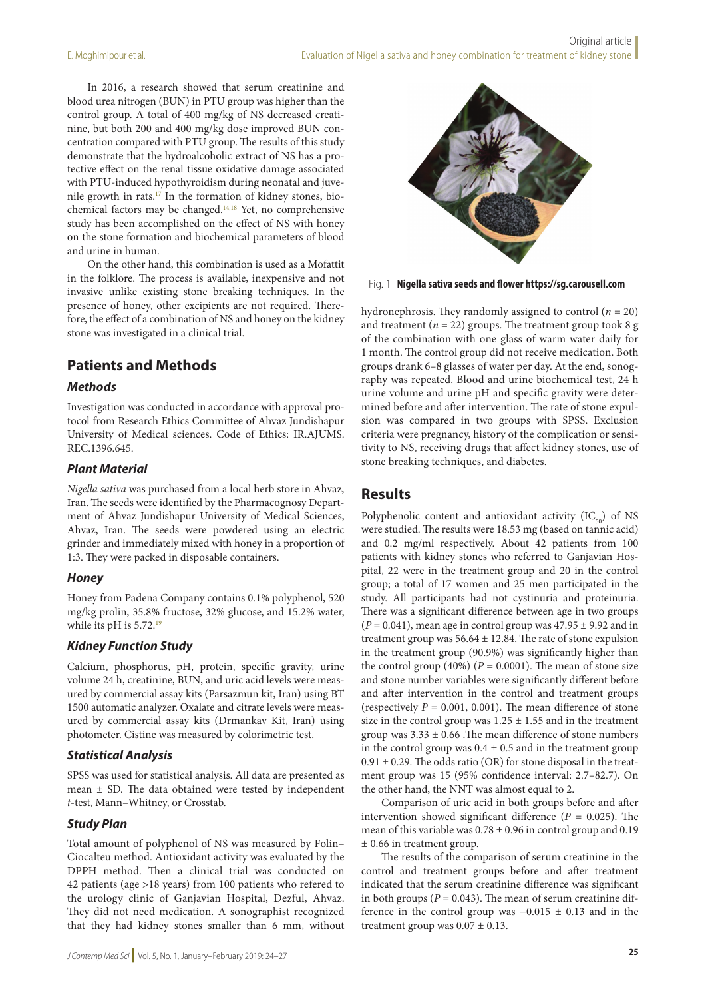In 2016, a research showed that serum creatinine and blood urea nitrogen (BUN) in PTU group was higher than the control group. A total of 400 mg/kg of NS decreased creatinine, but both 200 and 400 mg/kg dose improved BUN concentration compared with PTU group. The results of this study demonstrate that the hydroalcoholic extract of NS has a protective effect on the renal tissue oxidative damage associated with PTU-induced hypothyroidism during neonatal and juvenile growth in rats.17 In the formation of kidney stones, biochemical factors may be changed.14,18 Yet, no comprehensive study has been accomplished on the effect of NS with honey on the stone formation and biochemical parameters of blood and urine in human.

On the other hand, this combination is used as a Mofattit in the folklore. The process is available, inexpensive and not invasive unlike existing stone breaking techniques. In the presence of honey, other excipients are not required. Therefore, the effect of a combination of NS and honey on the kidney stone was investigated in a clinical trial.

# **Patients and Methods**

### *Methods*

Investigation was conducted in accordance with approval protocol from Research Ethics Committee of Ahvaz Jundishapur University of Medical sciences. Code of Ethics: IR.AJUMS. REC.1396.645.

### *Plant Material*

*Nigella sativa* was purchased from a local herb store in Ahvaz, Iran. The seeds were identified by the Pharmacognosy Department of Ahvaz Jundishapur University of Medical Sciences, Ahvaz, Iran. The seeds were powdered using an electric grinder and immediately mixed with honey in a proportion of 1:3. They were packed in disposable containers.

#### *Honey*

Honey from Padena Company contains 0.1% polyphenol, 520 mg/kg prolin, 35.8% fructose, 32% glucose, and 15.2% water, while its pH is 5.72.<sup>19</sup>

## *Kidney Function Study*

Calcium, phosphorus, pH, protein, specific gravity, urine volume 24 h, creatinine, BUN, and uric acid levels were measured by commercial assay kits (Parsazmun kit, Iran) using BT 1500 automatic analyzer. Oxalate and citrate levels were measured by commercial assay kits (Drmankav Kit, Iran) using photometer. Cistine was measured by colorimetric test.

#### *Statistical Analysis*

SPSS was used for statistical analysis. All data are presented as mean  $\pm$  SD. The data obtained were tested by independent *t*-test, Mann–Whitney, or Crosstab.

## *Study Plan*

Total amount of polyphenol of NS was measured by Folin– Ciocalteu method. Antioxidant activity was evaluated by the DPPH method. Then a clinical trial was conducted on 42 patients (age >18 years) from 100 patients who refered to the urology clinic of Ganjavian Hospital, Dezful, Ahvaz. They did not need medication. A sonographist recognized that they had kidney stones smaller than 6 mm, without



Fig. 1 **Nigella sativa seeds and flower https://sg.carousell.com**

hydronephrosis. They randomly assigned to control (*n* = 20) and treatment ( $n = 22$ ) groups. The treatment group took 8 g of the combination with one glass of warm water daily for 1 month. The control group did not receive medication. Both groups drank 6–8 glasses of water per day. At the end, sonography was repeated. Blood and urine biochemical test, 24 h urine volume and urine pH and specific gravity were determined before and after intervention. The rate of stone expulsion was compared in two groups with SPSS. Exclusion criteria were pregnancy, history of the complication or sensitivity to NS, receiving drugs that affect kidney stones, use of stone breaking techniques, and diabetes.

# **Results**

Polyphenolic content and antioxidant activity  $(IC_{50})$  of NS were studied. The results were 18.53 mg (based on tannic acid) and 0.2 mg/ml respectively. About 42 patients from 100 patients with kidney stones who referred to Ganjavian Hospital, 22 were in the treatment group and 20 in the control group; a total of 17 women and 25 men participated in the study. All participants had not cystinuria and proteinuria. There was a significant difference between age in two groups  $(P = 0.041)$ , mean age in control group was  $47.95 \pm 9.92$  and in treatment group was  $56.64 \pm 12.84$ . The rate of stone expulsion in the treatment group (90.9%) was significantly higher than the control group (40%) ( $P = 0.0001$ ). The mean of stone size and stone number variables were significantly different before and after intervention in the control and treatment groups (respectively  $P = 0.001, 0.001$ ). The mean difference of stone size in the control group was  $1.25 \pm 1.55$  and in the treatment group was  $3.33 \pm 0.66$ . The mean difference of stone numbers in the control group was  $0.4 \pm 0.5$  and in the treatment group  $0.91 \pm 0.29$ . The odds ratio (OR) for stone disposal in the treatment group was 15 (95% confidence interval: 2.7–82.7). On the other hand, the NNT was almost equal to 2.

Comparison of uric acid in both groups before and after intervention showed significant difference ( $P = 0.025$ ). The mean of this variable was  $0.78 \pm 0.96$  in control group and  $0.19$ ± 0.66 in treatment group.

The results of the comparison of serum creatinine in the control and treatment groups before and after treatment indicated that the serum creatinine difference was significant in both groups ( $P = 0.043$ ). The mean of serum creatinine difference in the control group was −0.015 ± 0.13 and in the treatment group was  $0.07 \pm 0.13$ .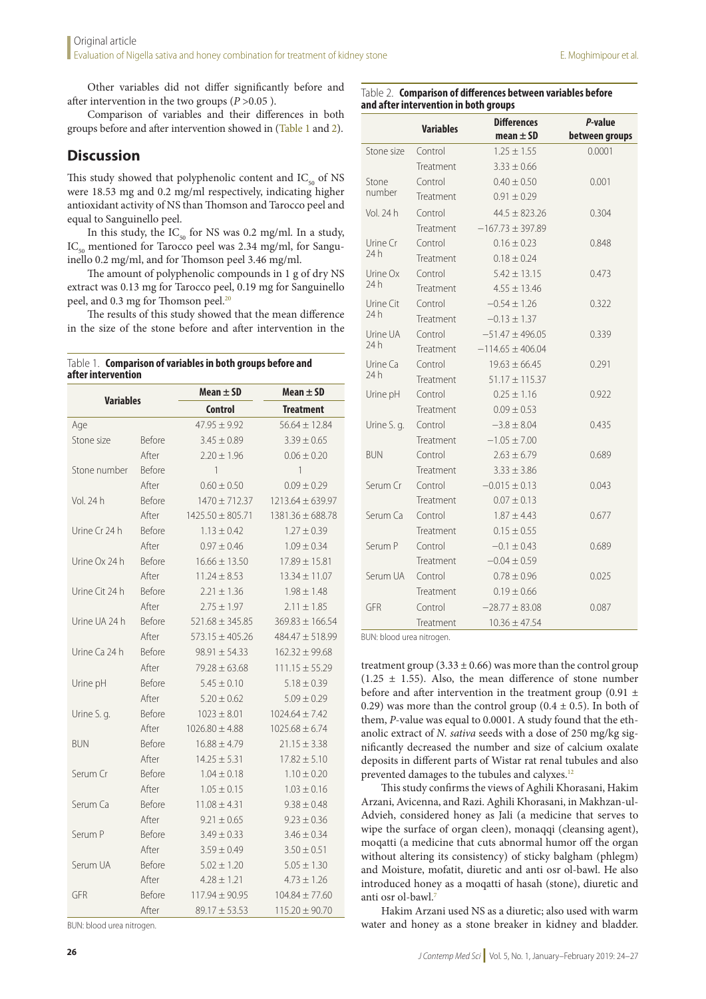Other variables did not differ significantly before and after intervention in the two groups ( $P > 0.05$ ).

Comparison of variables and their differences in both groups before and after intervention showed in (Table 1 and 2).

# **Discussion**

This study showed that polyphenolic content and  $IC_{50}$  of NS were 18.53 mg and 0.2 mg/ml respectively, indicating higher antioxidant activity of NS than Thomson and Tarocco peel and equal to Sanguinello peel.

In this study, the  $IC_{50}$  for NS was 0.2 mg/ml. In a study,  $IC_{50}$  mentioned for Tarocco peel was 2.34 mg/ml, for Sanguinello 0.2 mg/ml, and for Thomson peel 3.46 mg/ml.

The amount of polyphenolic compounds in 1 g of dry NS extract was 0.13 mg for Tarocco peel, 0.19 mg for Sanguinello peel, and 0.3 mg for Thomson peel.<sup>20</sup>

The results of this study showed that the mean difference in the size of the stone before and after intervention in the

#### Table 1. **Comparison of variables in both groups before and after intervention**

| <b>Variables</b> |               | Mean $\pm$ SD        | Mean $\pm$ SD        |
|------------------|---------------|----------------------|----------------------|
|                  |               | <b>Control</b>       | <b>Treatment</b>     |
| Age              |               | $47.95 + 9.92$       | $56.64 + 12.84$      |
| Stone size       | Before        | $3.45 \pm 0.89$      | $3.39 \pm 0.65$      |
|                  | After         | $2.20 \pm 1.96$      | $0.06 \pm 0.20$      |
| Stone number     | <b>Before</b> | 1                    | 1                    |
|                  | After         | $0.60 \pm 0.50$      | $0.09 \pm 0.29$      |
| Vol. 24 h        | Before        | $1470 \pm 712.37$    | $1213.64 \pm 639.97$ |
|                  | After         | $1425.50 \pm 805.71$ | $1381.36 \pm 688.78$ |
| Urine Cr 24 h    | <b>Before</b> | $1.13 \pm 0.42$      | $1.27 \pm 0.39$      |
|                  | After         | $0.97 \pm 0.46$      | $1.09 \pm 0.34$      |
| Urine Ox 24 h    | <b>Before</b> | $16.66 \pm 13.50$    | $17.89 \pm 15.81$    |
|                  | After         | $11.24 \pm 8.53$     | $13.34 \pm 11.07$    |
| Urine Cit 24 h   | <b>Before</b> | $2.21 \pm 1.36$      | $1.98 \pm 1.48$      |
|                  | After         | $2.75 \pm 1.97$      | $2.11 \pm 1.85$      |
| Urine UA 24 h    | <b>Before</b> | $521.68 \pm 345.85$  | $369.83 \pm 166.54$  |
|                  | After         | $573.15 \pm 405.26$  | $484.47 \pm 518.99$  |
| Urine Ca 24 h    | <b>Before</b> | $98.91 \pm 54.33$    | $162.32 \pm 99.68$   |
|                  | After         | $79.28 \pm 63.68$    | $111.15 \pm 55.29$   |
| Urine pH         | Before        | $5.45 \pm 0.10$      | $5.18 \pm 0.39$      |
|                  | After         | $5.20 \pm 0.62$      | $5.09 \pm 0.29$      |
| Urine S. g.      | Before        | $1023 \pm 8.01$      | $1024.64 \pm 7.42$   |
|                  | After         | $1026.80 \pm 4.88$   | $1025.68 \pm 6.74$   |
| <b>BUN</b>       | <b>Before</b> | $16.88 \pm 4.79$     | $21.15 \pm 3.38$     |
|                  | After         | $14.25 \pm 5.31$     | $17.82 \pm 5.10$     |
| Serum Cr         | <b>Before</b> | $1.04 \pm 0.18$      | $1.10 \pm 0.20$      |
|                  | After         | $1.05 \pm 0.15$      | $1.03 \pm 0.16$      |
| Serum Ca         | <b>Before</b> | $11.08 + 4.31$       | $9.38 + 0.48$        |
|                  | After         | $9.21 \pm 0.65$      | $9.23 \pm 0.36$      |
| Serum P          | <b>Before</b> | $3.49 \pm 0.33$      | $3.46 \pm 0.34$      |
|                  | After         | $3.59 \pm 0.49$      | $3.50 \pm 0.51$      |
| Serum UA         | Before        | $5.02 \pm 1.20$      | $5.05 \pm 1.30$      |
|                  | After         | $4.28 \pm 1.21$      | $4.73 \pm 1.26$      |
| GFR              | <b>Before</b> | $117.94 \pm 90.95$   | $104.84 \pm 77.60$   |
|                  | After         | $89.17 \pm 53.53$    | $115.20 \pm 90.70$   |

BUN: blood urea nitrogen.

#### Table 2. **Comparison of differences between variables before and after intervention in both groups**

| <b>Variables</b>  |           | <b>Differences</b><br>mean $\pm$ SD | P-value                  |
|-------------------|-----------|-------------------------------------|--------------------------|
| Stone size        | Control   | $1.25 \pm 1.55$                     | between groups<br>0.0001 |
|                   | Treatment | $3.33 \pm 0.66$                     |                          |
| Stone             | Control   | $0.40 \pm 0.50$                     | 0.001                    |
| number            |           |                                     |                          |
|                   | Treatment | $0.91 \pm 0.29$                     |                          |
| Vol. 24 h         | Control   | $44.5 \pm 823.26$                   | 0.304                    |
|                   | Treatment | $-167.73 \pm 397.89$                |                          |
| Urine Cr<br>24 h  | Control   | $0.16 \pm 0.23$                     | 0.848                    |
|                   | Treatment | $0.18 \pm 0.24$                     |                          |
| Urine Ox<br>24 h  | Control   | $5.42 \pm 13.15$                    | 0.473                    |
|                   | Treatment | $4.55 \pm 13.46$                    |                          |
| Urine Cit<br>24 h | Control   | $-0.54 \pm 1.26$                    | 0.322                    |
|                   | Treatment | $-0.13 \pm 1.37$                    |                          |
| Urine UA<br>24 h  | Control   | $-51.47 \pm 496.05$                 | 0.339                    |
|                   | Treatment | $-114.65 + 406.04$                  |                          |
| Urine Ca          | Control   | $19.63 \pm 66.45$                   | 0.291                    |
| 24 h              | Treatment | $51.17 + 115.37$                    |                          |
| Urine pH          | Control   | $0.25 \pm 1.16$                     | 0.922                    |
|                   | Treatment | $0.09 \pm 0.53$                     |                          |
| Urine S. q.       | Control   | $-3.8 + 8.04$                       | 0.435                    |
|                   | Treatment | $-1.05 + 7.00$                      |                          |
| <b>BUN</b>        | Control   | $2.63 \pm 6.79$                     | 0.689                    |
|                   | Treatment | $3.33 \pm 3.86$                     |                          |
| Serum Cr          | Control   | $-0.015 \pm 0.13$                   | 0.043                    |
|                   | Treatment | $0.07 \pm 0.13$                     |                          |
| Serum Ca          | Control   | $1.87 \pm 4.43$                     | 0.677                    |
|                   | Treatment | $0.15 \pm 0.55$                     |                          |
| Serum P           | Control   | $-0.1 \pm 0.43$                     | 0.689                    |
|                   | Treatment | $-0.04 \pm 0.59$                    |                          |
| Serum UA          | Control   | $0.78 \pm 0.96$                     | 0.025                    |
|                   | Treatment | $0.19 \pm 0.66$                     |                          |
| GFR               | Control   | $-28.77 \pm 83.08$                  | 0.087                    |
|                   | Treatment | $10.36 \pm 47.54$                   |                          |

BUN: blood urea nitrogen.

treatment group (3.33  $\pm$  0.66) was more than the control group  $(1.25 \pm 1.55)$ . Also, the mean difference of stone number before and after intervention in the treatment group (0.91  $\pm$ 0.29) was more than the control group  $(0.4 \pm 0.5)$ . In both of them, *P*-value was equal to 0.0001. A study found that the ethanolic extract of *N. sativa* seeds with a dose of 250 mg/kg significantly decreased the number and size of calcium oxalate deposits in different parts of Wistar rat renal tubules and also prevented damages to the tubules and calyxes.<sup>12</sup>

This study confirms the views of Aghili Khorasani, Hakim Arzani, Avicenna, and Razi. Aghili Khorasani, in Makhzan-ul-Advieh, considered honey as Jali (a medicine that serves to wipe the surface of organ cleen), monaqqi (cleansing agent), moqatti (a medicine that cuts abnormal humor off the organ without altering its consistency) of sticky balgham (phlegm) and Moisture, mofatit, diuretic and anti osr ol-bawl. He also introduced honey as a moqatti of hasah (stone), diuretic and anti osr ol-bawl.7

Hakim Arzani used NS as a diuretic; also used with warm water and honey as a stone breaker in kidney and bladder.